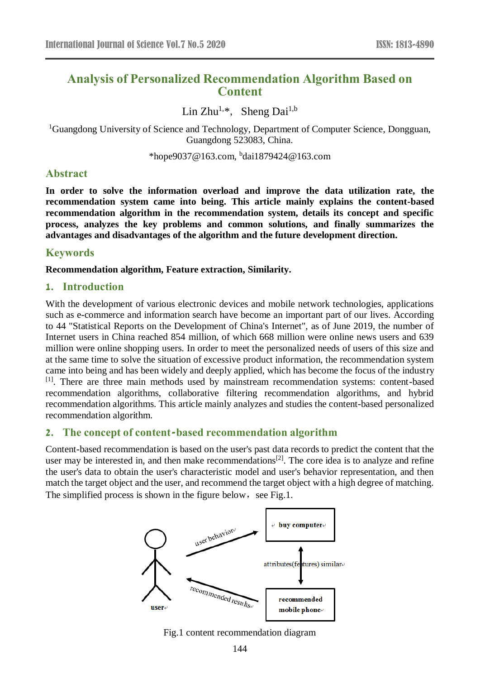# **Analysis of Personalized Recommendation Algorithm Based on Content**

Lin Zhu<sup>1,\*</sup>, Sheng Dai<sup>1,b</sup>

<sup>1</sup>Guangdong University of Science and Technology, Department of Computer Science, Dongguan, Guangdong 523083, China.

\*hope9037@163.com, <sup>b</sup> dai1879424@163.com

## **Abstract**

**In order to solve the information overload and improve the data utilization rate, the recommendation system came into being. This article mainly explains the content-based recommendation algorithm in the recommendation system, details its concept and specific process, analyzes the key problems and common solutions, and finally summarizes the advantages and disadvantages of the algorithm and the future development direction.**

## **Keywords**

**Recommendation algorithm, Feature extraction, Similarity.**

#### **1. Introduction**

With the development of various electronic devices and mobile network technologies, applications such as e-commerce and information search have become an important part of our lives. According to 44 "Statistical Reports on the Development of China's Internet", as of June 2019, the number of Internet users in China reached 854 million, of which 668 million were online news users and 639 million were online shopping users. In order to meet the personalized needs of users of this size and at the same time to solve the situation of excessive product information, the recommendation system came into being and has been widely and deeply applied, which has become the focus of the industry [1]. There are three main methods used by mainstream recommendation systems: content-based recommendation algorithms, collaborative filtering recommendation algorithms, and hybrid recommendation algorithms. This article mainly analyzes and studies the content-based personalized recommendation algorithm.

## **2. The concept of content-based recommendation algorithm**

Content-based recommendation is based on the user's past data records to predict the content that the user may be interested in, and then make recommendations<sup>[2]</sup>. The core idea is to analyze and refine the user's data to obtain the user's characteristic model and user's behavior representation, and then match the target object and the user, and recommend the target object with a high degree of matching. The simplified process is shown in the figure below, see Fig.1.



Fig.1 content recommendation diagram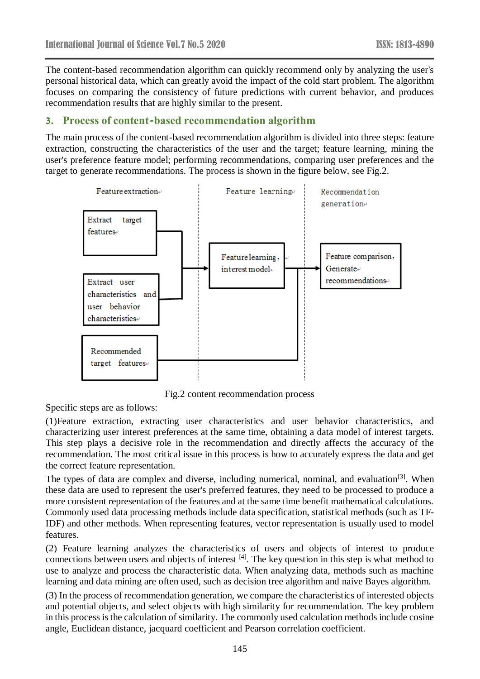The content-based recommendation algorithm can quickly recommend only by analyzing the user's personal historical data, which can greatly avoid the impact of the cold start problem. The algorithm focuses on comparing the consistency of future predictions with current behavior, and produces recommendation results that are highly similar to the present.

# **3. Process of content-based recommendation algorithm**

The main process of the content-based recommendation algorithm is divided into three steps: feature extraction, constructing the characteristics of the user and the target; feature learning, mining the user's preference feature model; performing recommendations, comparing user preferences and the target to generate recommendations. The process is shown in the figure below, see Fig.2.



Fig.2 content recommendation process

Specific steps are as follows:

(1)Feature extraction, extracting user characteristics and user behavior characteristics, and characterizing user interest preferences at the same time, obtaining a data model of interest targets. This step plays a decisive role in the recommendation and directly affects the accuracy of the recommendation. The most critical issue in this process is how to accurately express the data and get the correct feature representation.

The types of data are complex and diverse, including numerical, nominal, and evaluation<sup>[3]</sup>. When these data are used to represent the user's preferred features, they need to be processed to produce a more consistent representation of the features and at the same time benefit mathematical calculations. Commonly used data processing methods include data specification, statistical methods (such as TF-IDF) and other methods. When representing features, vector representation is usually used to model features.

(2) Feature learning analyzes the characteristics of users and objects of interest to produce connections between users and objects of interest [4]. The key question in this step is what method to use to analyze and process the characteristic data. When analyzing data, methods such as machine learning and data mining are often used, such as decision tree algorithm and naive Bayes algorithm.

(3) In the process of recommendation generation, we compare the characteristics of interested objects and potential objects, and select objects with high similarity for recommendation. The key problem in this process is the calculation of similarity. The commonly used calculation methods include cosine angle, Euclidean distance, jacquard coefficient and Pearson correlation coefficient.